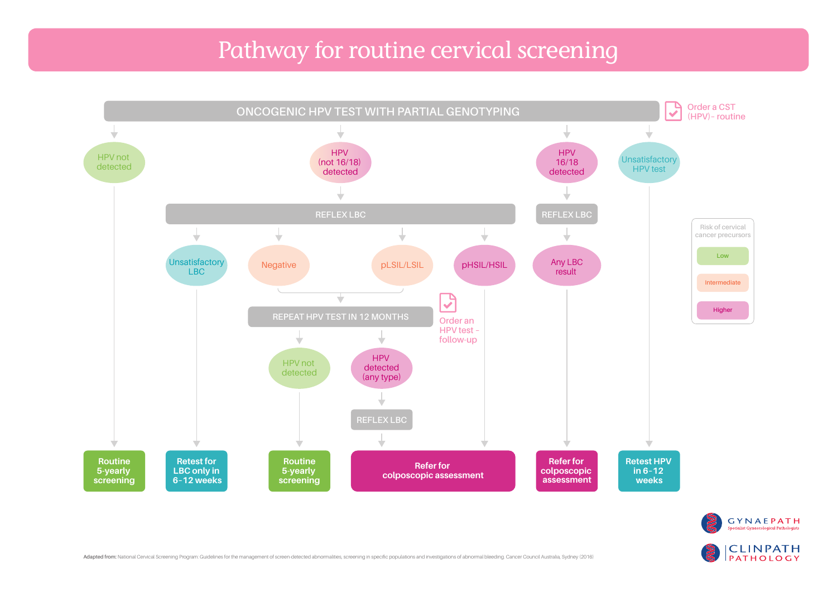## Pathway for routine cervical screening